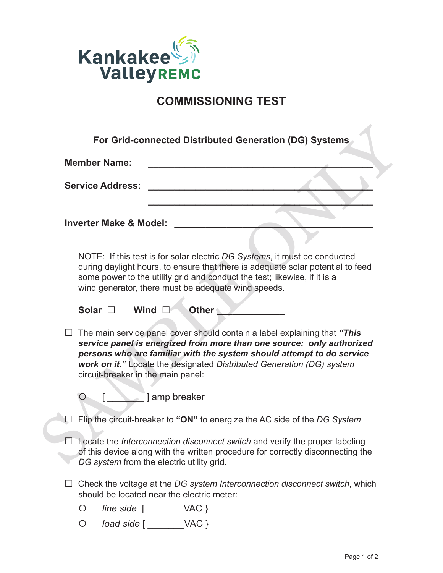

## **COMMISSIONING TEST**

|                         | <b>Member Name:</b>                       |                                              |                                                     |                                                                                                                                                                                                                                                                                                      |
|-------------------------|-------------------------------------------|----------------------------------------------|-----------------------------------------------------|------------------------------------------------------------------------------------------------------------------------------------------------------------------------------------------------------------------------------------------------------------------------------------------------------|
| <b>Service Address:</b> |                                           |                                              |                                                     |                                                                                                                                                                                                                                                                                                      |
|                         | <b>Inverter Make &amp; Model:</b>         |                                              |                                                     |                                                                                                                                                                                                                                                                                                      |
|                         |                                           |                                              |                                                     |                                                                                                                                                                                                                                                                                                      |
|                         |                                           |                                              | wind generator, there must be adequate wind speeds. | NOTE: If this test is for solar electric DG Systems, it must be conducted<br>during daylight hours, to ensure that there is adequate solar potential to feed<br>some power to the utility grid and conduct the test; likewise, if it is a                                                            |
|                         | Solar $\square$                           | Wind $\square$                               | <b>Other</b>                                        |                                                                                                                                                                                                                                                                                                      |
|                         | circuit-breaker in the main panel:        |                                              |                                                     | The main service panel cover should contain a label explaining that "This<br>service panel is energized from more than one source: only authorized<br>persons who are familiar with the system should attempt to do service<br>work on it." Locate the designated Distributed Generation (DG) system |
|                         |                                           | ] amp breaker                                |                                                     |                                                                                                                                                                                                                                                                                                      |
|                         |                                           |                                              |                                                     | Flip the circuit-breaker to "ON" to energize the AC side of the DG System                                                                                                                                                                                                                            |
|                         | DG system from the electric utility grid. |                                              |                                                     | Locate the Interconnection disconnect switch and verify the proper labeling<br>of this device along with the written procedure for correctly disconnecting the                                                                                                                                       |
|                         |                                           |                                              | should be located near the electric meter:          | Check the voltage at the DG system Interconnection disconnect switch, which                                                                                                                                                                                                                          |
|                         |                                           |                                              |                                                     |                                                                                                                                                                                                                                                                                                      |
|                         | O                                         | $line side$ $[$ $\qquad \qquad \vee AC$ $\}$ |                                                     |                                                                                                                                                                                                                                                                                                      |